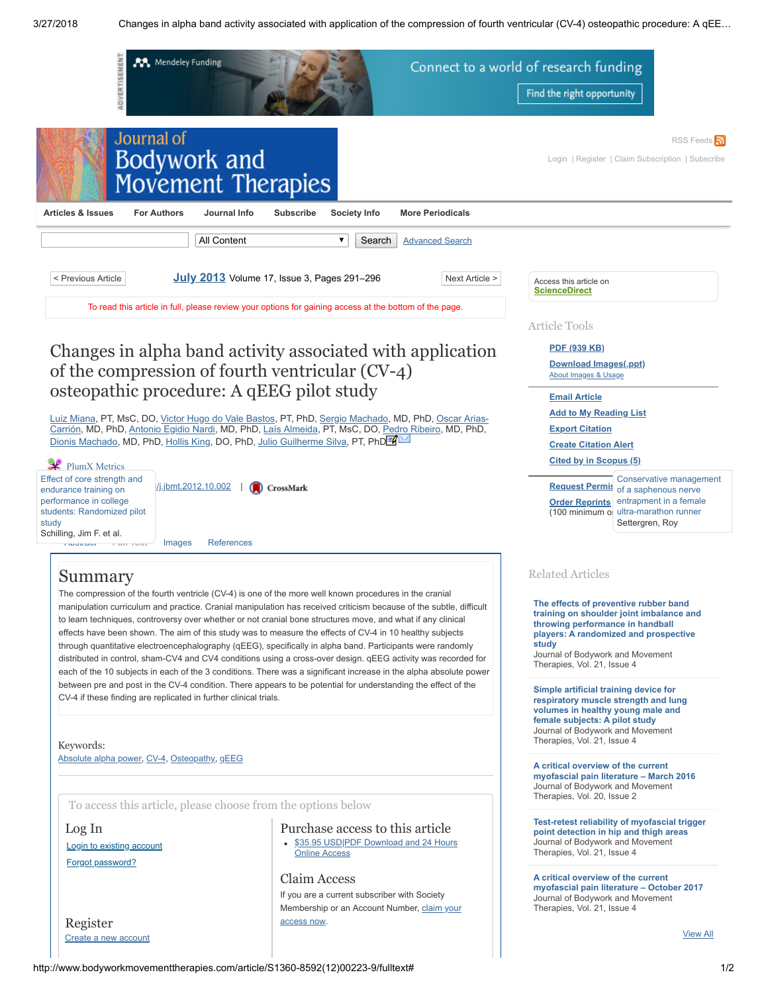